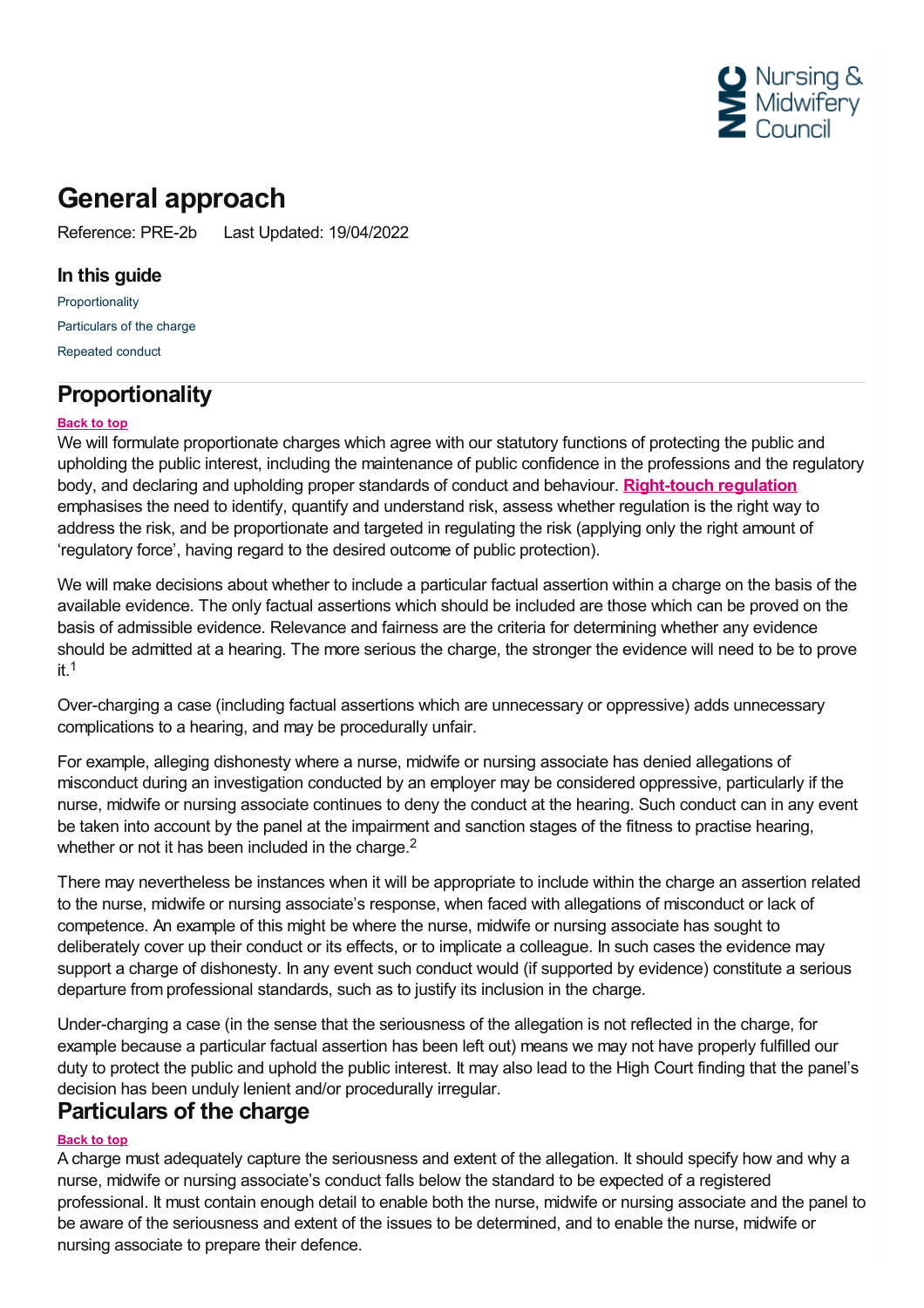

# **General approach**

Reference: PRE-2b Last Updated: 19/04/2022

### **In this guide**

[Proportionality](#page-0-0) [Particulars](#page-0-1) of the charge [Repeated](#page-1-0) conduct

## <span id="page-0-0"></span>**Proportionality**

#### **Back to top**

We will formulate proportionate charges which agree with our statutory functions of protecting the public and upholding the public interest, including the maintenance of public confidence in the professions and the regulatory body, and declaring and upholding proper standards of conduct and behaviour. **[Right-touch](http://www.professionalstandards.org.uk/policy-and-research/right-touch-regulation) regulation** emphasises the need to identify, quantify and understand risk, assess whether regulation is the right way to address the risk, and be proportionate and targeted in regulating the risk (applying only the right amount of 'regulatory force', having regard to the desired outcome of public protection).

We will make decisions about whether to include a particular factual assertion within a charge on the basis of the available evidence. The only factual assertions which should be included are those which can be proved on the basis of admissible evidence. Relevance and fairness are the criteria for determining whether any evidence should be admitted at a hearing. The more serious the charge, the stronger the evidence will need to be to prove it. 1

Over-charging a case (including factual assertions which are unnecessary or oppressive) adds unnecessary complications to a hearing, and may be procedurally unfair.

For example, alleging dishonesty where a nurse, midwife or nursing associate has denied allegations of misconduct during an investigation conducted by an employer may be considered oppressive, particularly if the nurse, midwife or nursing associate continues to deny the conduct at the hearing. Such conduct can in any event be taken into account by the panel at the impairment and sanction stages of the fitness to practise hearing, whether or not it has been included in the charge.<sup>2</sup>

There may nevertheless be instances when it will be appropriate to include within the charge an assertion related to the nurse, midwife or nursing associate's response, when faced with allegations of misconduct or lack of competence. An example of this might be where the nurse, midwife or nursing associate has sought to deliberately cover up their conduct or its effects, or to implicate a colleague. In such cases the evidence may support a charge of dishonesty. In any event such conduct would (if supported by evidence) constitute a serious departure from professional standards, such as to justify its inclusion in the charge.

Under-charging a case (in the sense that the seriousness of the allegation is not reflected in the charge, for example because a particular factual assertion has been left out) means we may not have properly fulfilled our duty to protect the public and uphold the public interest. It may also lead to the High Court finding that the panel's decision has been unduly lenient and/or procedurally irregular.

### <span id="page-0-1"></span>**Particulars of the charge**

#### **Back to top**

A charge must adequately capture the seriousness and extent of the allegation. It should specify how and why a nurse, midwife or nursing associate's conduct falls below the standard to be expected of a registered professional. It must contain enough detail to enable both the nurse, midwife or nursing associate and the panel to be aware of the seriousness and extent of the issues to be determined, and to enable the nurse, midwife or nursing associate to prepare their defence.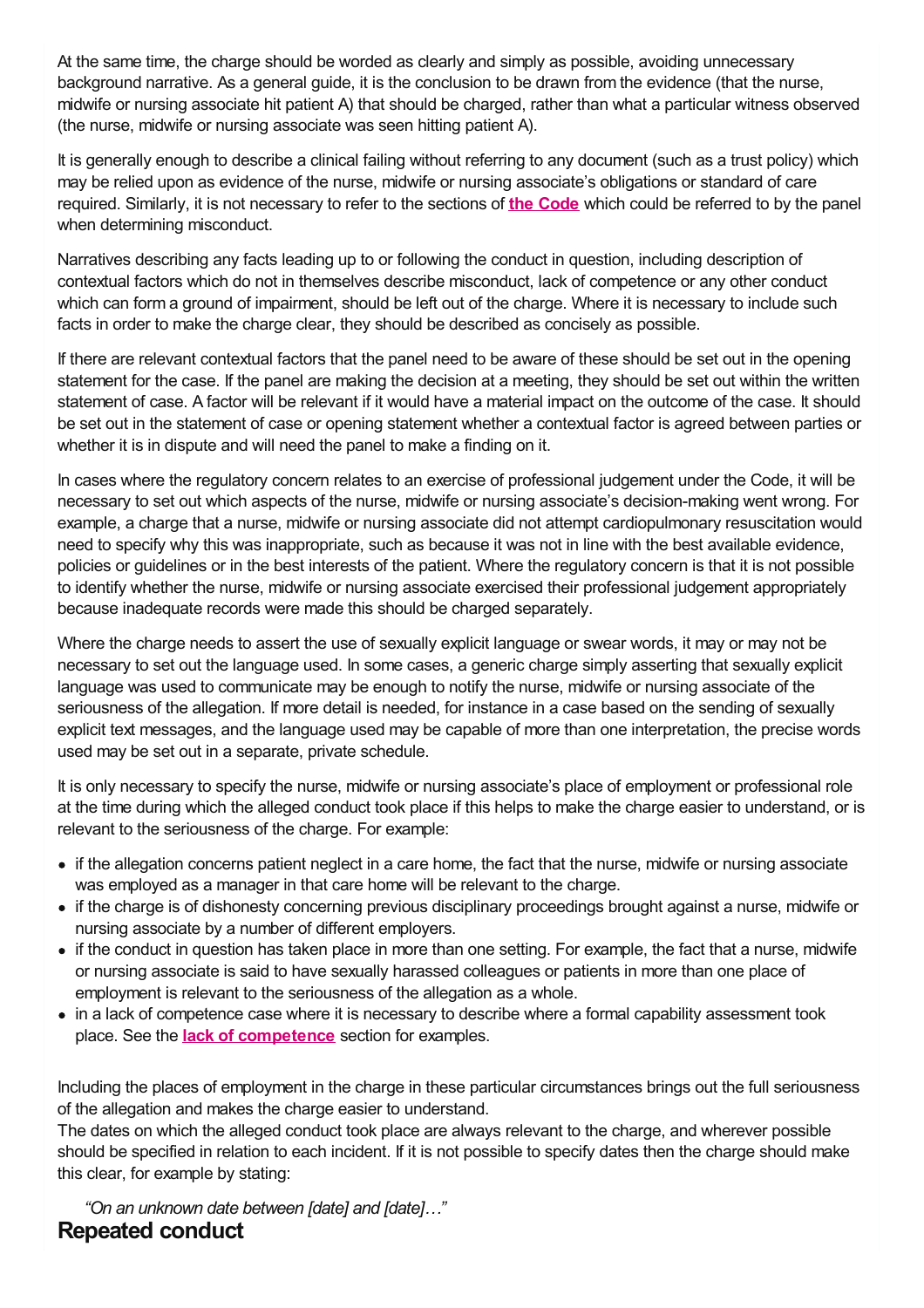At the same time, the charge should be worded as clearly and simply as possible, avoiding unnecessary background narrative. As a general guide, it is the conclusion to be drawn from the evidence (that the nurse, midwife or nursing associate hit patient A) that should be charged, rather than what a particular witness observed (the nurse, midwife or nursing associate was seen hitting patient A).

It is generally enough to describe a clinical failing without referring to any document (such as a trust policy) which may be relied upon as evidence of the nurse, midwife or nursing associate's obligations or standard of care required. Similarly, it is not necessary to refer to the sections of **the [Code](https://www.nmc.org.uk/standards/code/)** which could be referred to by the panel when determining misconduct.

Narratives describing any facts leading up to or following the conduct in question, including description of contextual factors which do not in themselves describe misconduct, lack of competence or any other conduct which can form a ground of impairment, should be left out of the charge. Where it is necessary to include such facts in order to make the charge clear, they should be described as concisely as possible.

If there are relevant contextual factors that the panel need to be aware of these should be set out in the opening statement for the case. If the panel are making the decision at a meeting, they should be set out within the written statement of case. A factor will be relevant if it would have a material impact on the outcome of the case. It should be set out in the statement of case or opening statement whether a contextual factor is agreed between parties or whether it is in dispute and will need the panel to make a finding on it.

In cases where the regulatory concern relates to an exercise of professional judgement under the Code, it will be necessary to set out which aspects of the nurse, midwife or nursing associate's decision-making went wrong. For example, a charge that a nurse, midwife or nursing associate did not attempt cardiopulmonary resuscitation would need to specify why this was inappropriate, such as because it was not in line with the best available evidence, policies or guidelines or in the best interests of the patient. Where the regulatory concern is that it is not possible to identify whether the nurse, midwife or nursing associate exercised their professional judgement appropriately because inadequate records were made this should be charged separately.

Where the charge needs to assert the use of sexually explicit language or swear words, it may or may not be necessary to set out the language used. In some cases, a generic charge simply asserting that sexually explicit language was used to communicate may be enough to notify the nurse, midwife or nursing associate of the seriousness of the allegation. If more detail is needed, for instance in a case based on the sending of sexually explicit text messages, and the language used may be capable of more than one interpretation, the precise words used may be set out in a separate, private schedule.

It is only necessary to specify the nurse, midwife or nursing associate's place of employment or professional role at the time during which the alleged conduct took place if this helps to make the charge easier to understand, or is relevant to the seriousness of the charge. For example:

- if the allegation concerns patient neglect in a care home, the fact that the nurse, midwife or nursing associate was employed as a manager in that care home will be relevant to the charge.
- if the charge is of dishonesty concerning previous disciplinary proceedings brought against a nurse, midwife or nursing associate by a number of different employers.
- if the conduct in question has taken place in more than one setting. For example, the fact that a nurse, midwife or nursing associate is said to have sexually harassed colleagues or patients in more than one place of employment is relevant to the seriousness of the allegation as a whole.
- in a lack of competence case where it is necessary to describe where a formal capability assessment took place. See the **lack of [competence](https://www.nmc.org.uk/ftp-library/hearings/drafting-charges/other-fitness-to-practise-charges/)** section for examples.

Including the places of employment in the charge in these particular circumstances brings out the full seriousness of the allegation and makes the charge easier to understand.

The dates on which the alleged conduct took place are always relevant to the charge, and wherever possible should be specified in relation to each incident. If it is not possible to specify dates then the charge should make this clear, for example by stating:

<span id="page-1-0"></span>*"On an unknown date between [date] and [date]…"* **Repeated conduct**